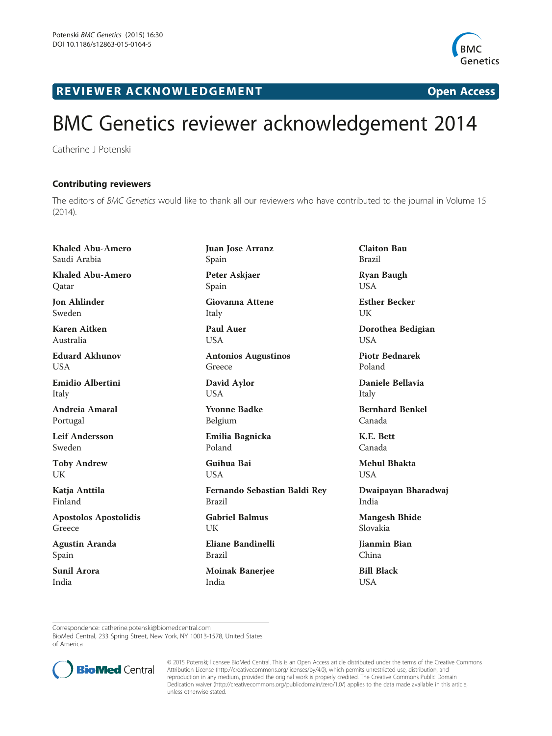

R EVI EW E R ACKNOW L EDG EM EN T Open Access

## BMC Genetics reviewer acknowledgement 2014

Catherine J Potenski

## Contributing reviewers

The editors of BMC Genetics would like to thank all our reviewers who have contributed to the journal in Volume 15 (2014).

Khaled Abu-Amero Saudi Arabia Khaled Abu-Amero **O**atar Jon Ahlinder Sweden Karen Aitken Australia Eduard Akhunov **USA** Emidio Albertini Italy Andreia Amaral Portugal Leif Andersson Sweden Toby Andrew UK Katja Anttila Finland Apostolos Apostolidis Greece Agustin Aranda Spain Sunil Arora India

Juan Jose Arranz Spain Peter Askjaer Spain Giovanna Attene Italy Paul Auer USA Antonios Augustinos Greece David Aylor USA Yvonne Badke Belgium Emilia Bagnicka Poland Guihua Bai **USA** Fernando Sebastian Baldi Rey Brazil Gabriel Balmus I IK

Eliane Bandinelli Brazil

Moinak Banerjee India

Claiton Bau Brazil Ryan Baugh USA

Esther Becker UK

Dorothea Bedigian USA

Piotr Bednarek Poland

Daniele Bellavia Italy

Bernhard Benkel Canada

K.E. Bett Canada

Mehul Bhakta **USA** 

Dwaipayan Bharadwaj India

Mangesh Bhide Slovakia

Jianmin Bian China

Bill Black **USA** 

Correspondence: [catherine.potenski@biomedcentral.com](mailto:catherine.potenski@biomedcentral.com)

BioMed Central, 233 Spring Street, New York, NY 10013-1578, United States of America



© 2015 Potenski; licensee BioMed Central. This is an Open Access article distributed under the terms of the Creative Commons Attribution License (<http://creativecommons.org/licenses/by/4.0>), which permits unrestricted use, distribution, and reproduction in any medium, provided the original work is properly credited. The Creative Commons Public Domain Dedication waiver [\(http://creativecommons.org/publicdomain/zero/1.0/](http://creativecommons.org/publicdomain/zero/1.0/)) applies to the data made available in this article, unless otherwise stated.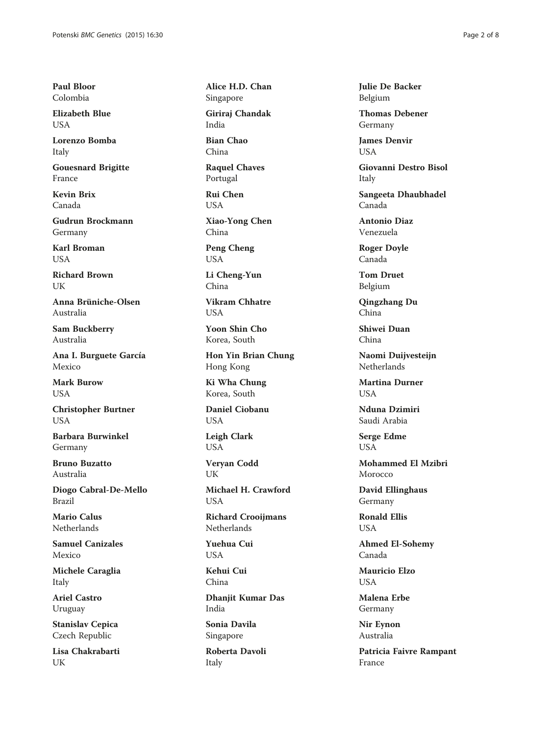Paul Bloor Colombia

Elizabeth Blue USA

Lorenzo Bomba Italy

Gouesnard Brigitte France

Kevin Brix Canada

Gudrun Brockmann Germany

Karl Broman **I** IS A

Richard Brown UK

Anna Brüniche-Olsen Australia

Sam Buckberry Australia

Ana I. Burguete García Mexico

Mark Burow **USA** 

Christopher Burtner **USA** 

Barbara Burwinkel Germany

Bruno Buzatto Australia

Diogo Cabral-De-Mello Brazil

Mario Calus Netherlands

Samuel Canizales Mexico

Michele Caraglia Italy

Ariel Castro Uruguay

Stanislav Cepica Czech Republic

Lisa Chakrabarti UK

Alice H.D. Chan Singapore

Giriraj Chandak India

Bian Chao China

Raquel Chaves Portugal

Rui Chen USA

Xiao-Yong Chen China

Peng Cheng USA

Li Cheng-Yun China

Vikram Chhatre **USA** 

Yoon Shin Cho Korea, South

Hon Yin Brian Chung Hong Kong

Ki Wha Chung Korea, South

Daniel Ciobanu **USA** 

Leigh Clark USA

Veryan Codd UK

Michael H. Crawford USA

Richard Crooijmans **Netherlands** 

Yuehua Cui USA

Kehui Cui China

Dhanjit Kumar Das India

Sonia Davila Singapore

Roberta Davoli Italy

Julie De Backer Belgium

Thomas Debener Germany

James Denvir **USA** 

Giovanni Destro Bisol Italy

Sangeeta Dhaubhadel Canada

Antonio Diaz Venezuela

Roger Doyle Canada

Tom Druet Belgium

Qingzhang Du China

Shiwei Duan China

Naomi Duijvesteijn Netherlands

Martina Durner **USA** 

Nduna Dzimiri Saudi Arabia

Serge Edme **USA** 

Mohammed El Mzibri Morocco

David Ellinghaus Germany

Ronald Ellis USA

Ahmed El-Sohemy Canada

Mauricio Elzo USA

Malena Erbe Germany

Nir Eynon Australia

Patricia Faivre Rampant France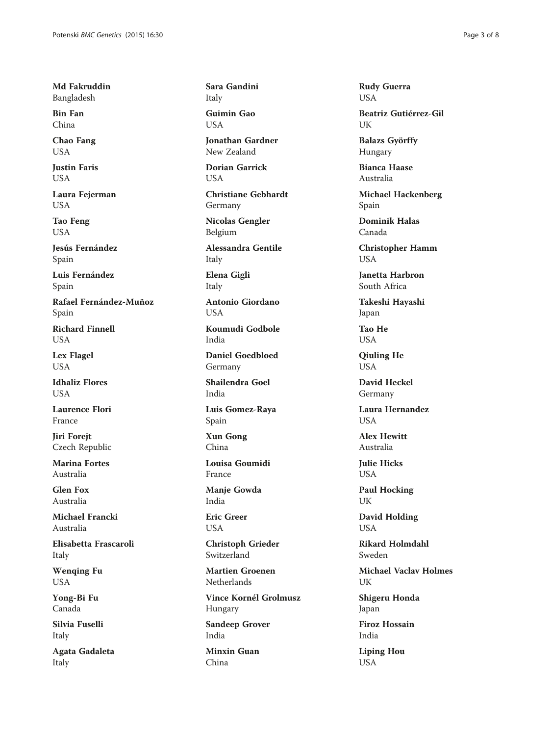Md Fakruddin Bangladesh

Bin Fan China

Chao Fang **USA** 

Justin Faris USA

Laura Fejerman USA

Tao Feng USA

Jesús Fernández Spain

Luis Fernández Spain

Rafael Fernández-Muñoz Spain

Richard Finnell **USA** 

Lex Flagel **USA** 

Idhaliz Flores **USA** 

Laurence Flori France

Jiri Forejt Czech Republic

Marina Fortes Australia

Glen Fox Australia

Michael Francki Australia

Elisabetta Frascaroli Italy

Wenqing Fu USA

Yong-Bi Fu Canada

Silvia Fuselli Italy

Agata Gadaleta Italy

Sara Gandini Italy

Guimin Gao **I** ISA

Jonathan Gardner New Zealand

Dorian Garrick USA

Christiane Gebhardt Germany

Nicolas Gengler Belgium

Alessandra Gentile Italy

Elena Gigli Italy

Antonio Giordano **USA** 

Koumudi Godbole India

Daniel Goedbloed Germany

Shailendra Goel India

Luis Gomez-Raya Spain

Xun Gong China

Louisa Goumidi France

Manje Gowda India

Eric Greer USA

Christoph Grieder Switzerland

Martien Groenen **Netherlands** 

Vince Kornél Grolmusz Hungary Sandeep Grover

India

Minxin Guan China

Rudy Guerra USA

Beatriz Gutiérrez-Gil **I**IK

Balazs Györffy Hungary

Bianca Haase Australia

Michael Hackenberg Spain

Dominik Halas Canada

Christopher Hamm USA

Janetta Harbron South Africa

Takeshi Hayashi Japan

Tao He **USA** 

Qiuling He **USA** 

David Heckel Germany

Laura Hernandez **I** IS A

Alex Hewitt Australia

Julie Hicks **USA** 

Paul Hocking UK

David Holding USA

Rikard Holmdahl Sweden

Michael Vaclav Holmes UK

Shigeru Honda Japan

Firoz Hossain India

Liping Hou USA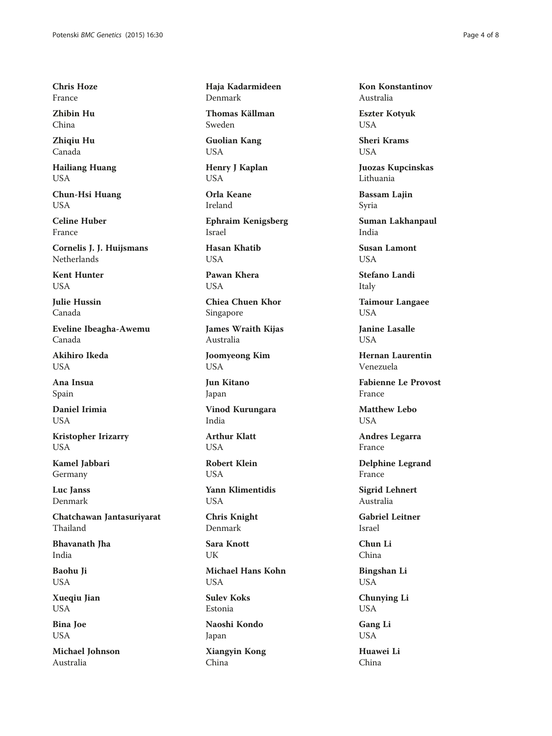Chris Hoze France

Zhibin Hu China

Zhiqiu Hu Canada

Hailiang Huang USA

Chun-Hsi Huang USA

Celine Huber France

Cornelis J. J. Huijsmans Netherlands

Kent Hunter USA

Julie Hussin Canada

Eveline Ibeagha-Awemu Canada

Akihiro Ikeda **USA** 

Ana Insua Spain

Daniel Irimia **USA** 

Kristopher Irizarry USA

Kamel Jabbari Germany

Luc Janss Denmark

Chatchawan Jantasuriyarat Thailand

Bhavanath Jha India

Baohu Ji USA

Xueqiu Jian USA

Bina Joe USA

Michael Johnson Australia

Haja Kadarmideen Denmark

Thomas Källman Sweden

Guolian Kang USA

Henry J Kaplan USA

Orla Keane Ireland

Ephraim Kenigsberg Israel

Hasan Khatib **I** IS A

Pawan Khera **USA** 

Chiea Chuen Khor Singapore

James Wraith Kijas Australia

Joomyeong Kim USA

Jun Kitano Japan

Vinod Kurungara India

Arthur Klatt **USA** 

Robert Klein **USA** 

Yann Klimentidis USA

Chris Knight Denmark

Sara Knott UK

Michael Hans Kohn USA

Sulev Koks Estonia

Naoshi Kondo Japan

Xiangyin Kong China

Kon Konstantinov Australia

Eszter Kotyuk USA

Sheri Krams **USA** 

Juozas Kupcinskas Lithuania

Bassam Lajin Syria

Suman Lakhanpaul India

Susan Lamont **I** IS A

Stefano Landi Italy

Taimour Langaee USA

Janine Lasalle **USA** 

Hernan Laurentin Venezuela

Fabienne Le Provost France

Matthew Lebo **USA** 

Andres Legarra France

Delphine Legrand France

Sigrid Lehnert Australia

Gabriel Leitner Israel

Chun Li China

Bingshan Li USA

Chunying Li USA

Gang Li USA

Huawei Li China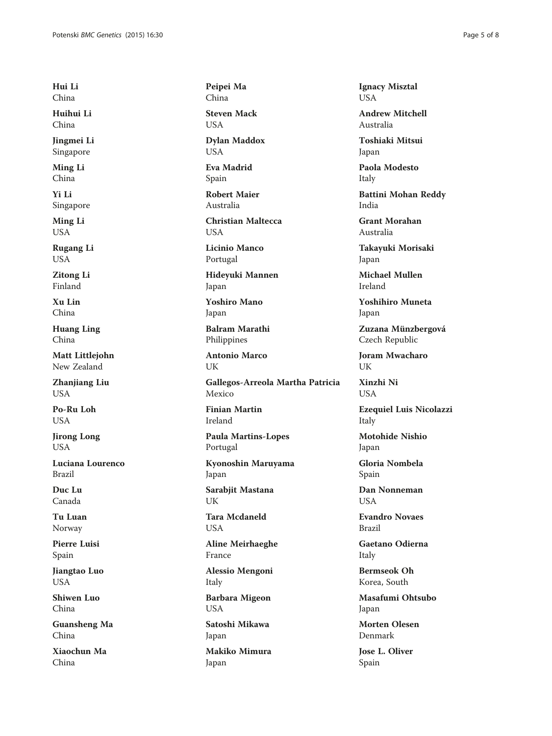Hui Li China

Huihui Li China

Jingmei Li Singapore

Ming Li China

Yi Li Singapore

Ming Li USA

Rugang Li USA

Zitong Li Finland

Xu Lin China

Huang Ling China

Matt Littlejohn New Zealand

Zhanjiang Liu USA

Po-Ru Loh **USA** 

Jirong Long **USA** 

Luciana Lourenco Brazil

Duc Lu Canada

Tu Luan Norway

Pierre Luisi Spain

Jiangtao Luo USA

Shiwen Luo China

Guansheng Ma China

Xiaochun Ma China

Peipei Ma China

Steven Mack USA

Dylan Maddox **USA** 

Eva Madrid Spain

Robert Maier Australia

Christian Maltecca **USA** 

Licinio Manco Portugal

Hideyuki Mannen Japan

Yoshiro Mano Japan

Balram Marathi Philippines

Antonio Marco UK

Gallegos-Arreola Martha Patricia Mexico

Finian Martin Ireland

Paula Martins-Lopes Portugal

Kyonoshin Maruyama Japan

Sarabjit Mastana UK

Tara Mcdaneld USA

Aline Meirhaeghe France

Alessio Mengoni Italy

Barbara Migeon USA

Satoshi Mikawa Japan

Makiko Mimura Japan

Ignacy Misztal USA

Andrew Mitchell Australia

Toshiaki Mitsui Japan

Paola Modesto Italy

Battini Mohan Reddy India

Grant Morahan Australia

Takayuki Morisaki Japan

Michael Mullen Ireland

Yoshihiro Muneta Japan

Zuzana Münzbergová Czech Republic

Joram Mwacharo UK

Xinzhi Ni **USA** 

Ezequiel Luis Nicolazzi Italy

Motohide Nishio Japan

Gloria Nombela Spain

Dan Nonneman **USA** 

Evandro Novaes Brazil

Gaetano Odierna Italy

Bermseok Oh Korea, South

Masafumi Ohtsubo Japan

Morten Olesen Denmark

Jose L. Oliver Spain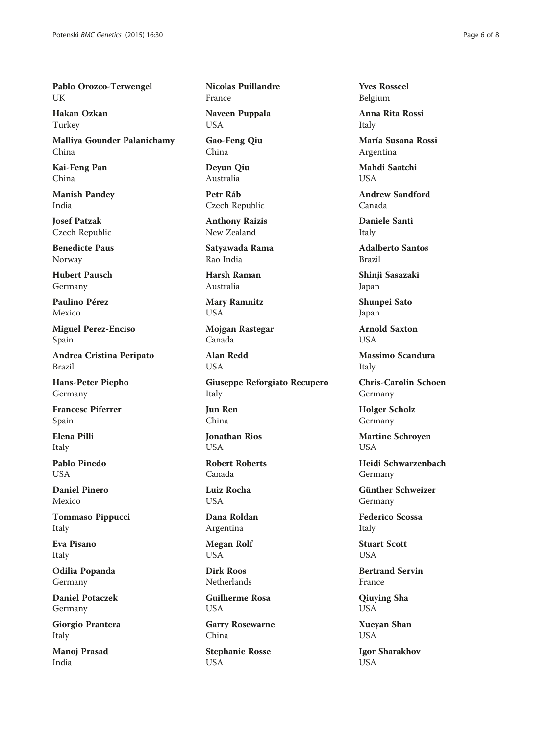Pablo Orozco-Terwengel UK

Hakan Ozkan Turkey

Malliya Gounder Palanichamy China

Kai-Feng Pan China

Manish Pandey India

Josef Patzak Czech Republic

Benedicte Paus Norway

Hubert Pausch Germany

Paulino Pérez Mexico

Miguel Perez-Enciso Spain

Andrea Cristina Peripato Brazil

Hans-Peter Piepho Germany

Francesc Piferrer Spain

Elena Pilli Italy

Pablo Pinedo **USA** 

Daniel Pinero Mexico

Tommaso Pippucci Italy

Eva Pisano Italy

Odilia Popanda Germany

Daniel Potaczek Germany

Giorgio Prantera Italy

Manoj Prasad India

Nicolas Puillandre France

Naveen Puppala USA

Gao-Feng Qiu China

Deyun Qiu Australia

Petr Ráb Czech Republic

Anthony Raizis New Zealand

Satyawada Rama Rao India

Harsh Raman Australia

Mary Ramnitz USA

Mojgan Rastegar Canada

Alan Redd USA

Giuseppe Reforgiato Recupero Italy

Jun Ren China

Jonathan Rios **USA** 

Robert Roberts Canada

Luiz Rocha USA

Dana Roldan Argentina

Megan Rolf USA

Dirk Roos **Netherlands** 

Guilherme Rosa USA

Garry Rosewarne China

Stephanie Rosse USA

Yves Rosseel Belgium

Anna Rita Rossi Italy

María Susana Rossi Argentina

Mahdi Saatchi USA

Andrew Sandford Canada

Daniele Santi Italy

Adalberto Santos Brazil

Shinji Sasazaki Japan

Shunpei Sato Japan

Arnold Saxton **USA** 

Massimo Scandura Italy

Chris-Carolin Schoen Germany

Holger Scholz Germany

Martine Schroyen **USA** 

Heidi Schwarzenbach Germany

Günther Schweizer Germany

Federico Scossa Italy

Stuart Scott USA

Bertrand Servin France

Qiuying Sha USA

Xueyan Shan USA

Igor Sharakhov USA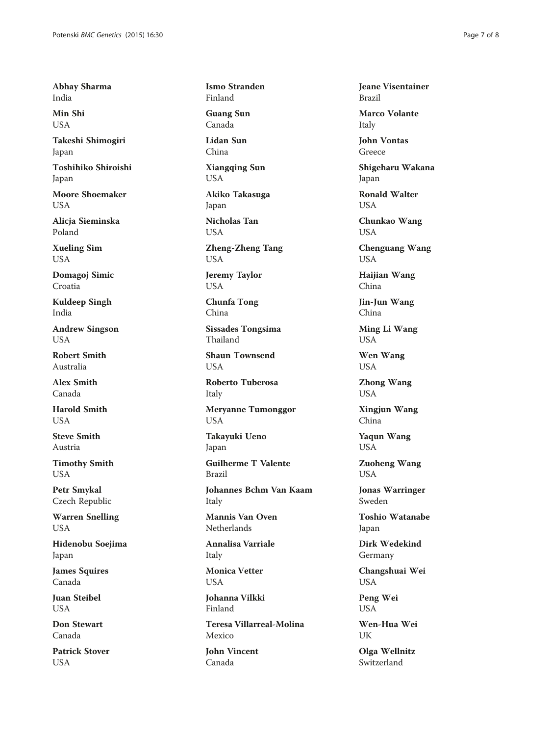Abhay Sharma India

Min Shi USA

Takeshi Shimogiri Japan

Toshihiko Shiroishi Japan

Moore Shoemaker **I** ISA

Alicja Sieminska Poland

Xueling Sim USA

Domagoj Simic Croatia

Kuldeep Singh India

Andrew Singson USA

Robert Smith Australia

Alex Smith Canada

Harold Smith **USA** 

Steve Smith Austria

Timothy Smith USA

Petr Smykal Czech Republic

Warren Snelling USA

Hidenobu Soejima Japan

James Squires Canada

Juan Steibel USA

Don Stewart Canada

Patrick Stover USA

Ismo Stranden Finland Guang Sun Canada Lidan Sun China Xiangqing Sun USA Akiko Takasuga

Japan

Nicholas Tan USA

Zheng-Zheng Tang USA

Jeremy Taylor USA

Chunfa Tong China

Sissades Tongsima Thailand

Shaun Townsend **USA** 

Roberto Tuberosa Italy

Meryanne Tumonggor USA

Takayuki Ueno Japan

Guilherme T Valente Brazil

Johannes Bchm Van Kaam Italy

Mannis Van Oven **Netherlands** 

Annalisa Varriale Italy

Monica Vetter USA

Johanna Vilkki Finland

Teresa Villarreal-Molina Mexico

John Vincent Canada

Jeane Visentainer Brazil

Marco Volante Italy

John Vontas Greece

Shigeharu Wakana Japan

Ronald Walter USA

Chunkao Wang USA

Chenguang Wang USA

Haijian Wang China

Jin-Jun Wang China

Ming Li Wang USA

Wen Wang USA

Zhong Wang USA

Xingjun Wang China

Yaqun Wang USA

Zuoheng Wang USA

Jonas Warringer Sweden

Toshio Watanabe Japan

Dirk Wedekind Germany

Changshuai Wei USA

Peng Wei USA

Wen-Hua Wei UK

Olga Wellnitz Switzerland